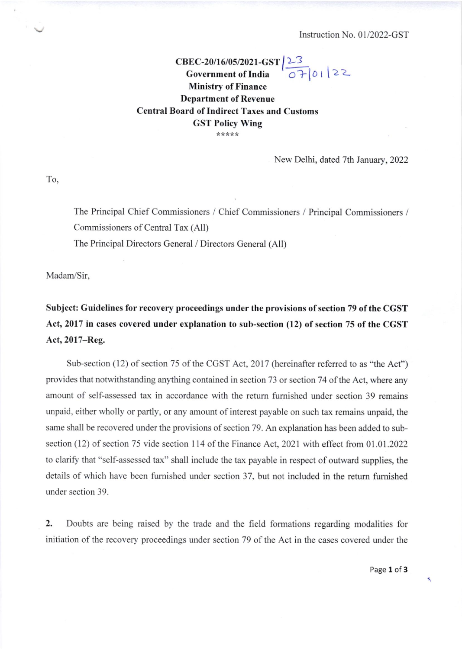## cBEC-20/l 6/05/202 I -cST Govcrnment of India Ministry of Finance Department of Revenuc L3 Central Board of Indirect Taxes and Customs GST Policy Wing ,.\*:t\*\*  $070122$

New Delhi, dated 7th January,2022

To.

The Principal Chief Commissioners / Chief Commissioners / Principal Commissioners / Commissioners of Central Tax (All)

The Principal Directors General / Directors General (All)

Madam/Sir.

Subject: Guidelines for recovery proceedings under the provisions of section 79 of the CGST Act, 2017 in cases covered under explanation to sub-section (12) of section 75 of the CGST Act,2017-Reg.

Sub-section (12) of section 75 of the CGST Act, 2017 (hereinafter referred to as "the Act") provides that notwithstanding anything contained in section 73 or section 74 of the Act, where any amount of self-assessed tax in accordance with the return fumished under section 39 remains unpaid, either wholly or partly, or any amount of interest payable on such tax remains unpaid, the same shall be recovered under the provisions of section 79. An explanation has been added to subsection (12) of section 75 vide section 114 of the Finance Act, 2021 with effect from 01.01.2022 to clarify that "self-assessed tax" shall include the tax payable in respect of outward supplies, the details of which have been fumished under section 37. but not included in the retum fumished under section 39.

2. Doubts are being raised by the trade and the field formations regarding modalities for initiation of the recovery proceedings under section 79 of the Act in the cases covered under the

Page 1 of 3

 $\overline{\mathbf{r}}$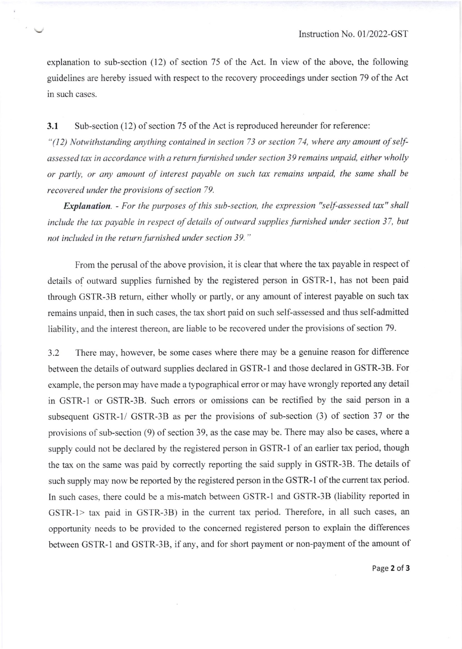explanation to sub-section (12) of section 75 of the Act. In view of the above, the following guidelines are hereby issued with respect to the recovery proceedings under section 79 of the Act in such cases.

3.1 Sub-section (12) of section 75 of the Act is reproduced hereunder for reference:

 $\bar{\mathcal{F}}$ 

"(12) Notwithstanding anything contained in section 73 or section 74, where any amount of selfassessed tax in accordance with a return furnished under section 39 remains unpaid, either wholly or partly, or any amounl of interest payable on such tax remains unpaid, the same shall be recovered under the provisions of section 79.

Explanation. - For the purposes of this sub-section, the expression "self-assessed tax" shall include the tax payable in respect of details of outward supplies furnished under section 37, but not included in the return furnished under section 39."

From the perusal of the above provision, it is clear that where the tax payable in respect of details of outward supplies fumished by the registered person in GSTR-I, has not been paid through GSTR-3B retum, either wholly or partly, or any amount of interest payable on such tax remains unpaid, then in such cases, the tax short paid on such self-assessed and thus self-admitted liability, and the interest thereon, are liable to be recovered under the provisions of section 79.

3.2 There may, however, be some cases where there may be a genuine reason for difference between the details of outward supplies declared in GSTR-1 and those declared in GSTR-3B. For example, the person may have made a typographical error or may have wrongly reported any detail in GSTR-I or GSTR-3B. Such errors or omissions can be rectified by the said person in <sup>a</sup> subsequent GSTR-I/ GSTR-3B as per the provisions of sub-section (3) of section 37 or the provisions of sub-section (9) of section 39, as the case may be. There may also be cases, where a supply could not be declared by the registered person in GSTR-1 of an earlier tax period, though the tax on the same was paid by correctly reporting the said supply in GSTR-3B. The details of such supply may now be reported by the registered person in the GSTR-1 of the current tax period. In such cases, there could be a mis-match between GSTR-1 and GSTR-3B (liability reported in GSTR-I> tax paid in GSTR-3B) in the current tax period. Therefore, in all such cases, an opportunity needs to be provided to the concemed registered person to explain the differences between GSTR-1 and GSTR-3B, if any, and for short payment or non-payment of the amount of